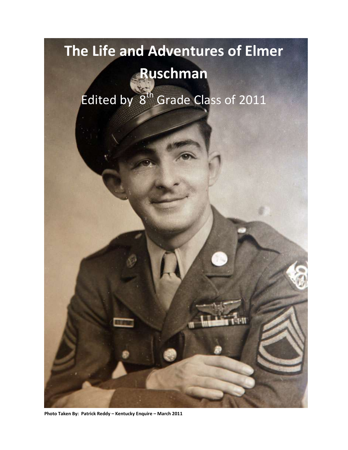# **The Life and Adventures of Elmer**

## **Ruschman**

Edited by  $8^{th}$  Grade Class of 2011

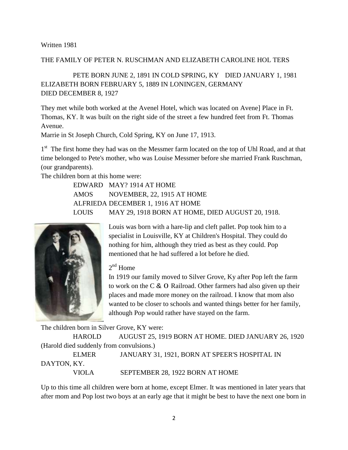### THE FAMILY OF PETER N. RUSCHMAN AND ELIZABETH CAROLINE HOL TERS

PETE BORN JUNE 2, 1891 IN COLD SPRING, KY DIED JANUARY 1, 1981 ELIZABETH BORN FEBRUARY 5, 1889 IN LONINGEN, GERMANY DIED DECEMBER 8, 1927

They met while both worked at the Avenel Hotel, which was located on Avene] Place in Ft. Thomas, KY. It was built on the right side of the street a few hundred feet from Ft. Thomas Avenue.

Marrie in St Joseph Church, Cold Spring, KY on June 17, 1913.

1<sup>st</sup> The first home they had was on the Messmer farm located on the top of Uhl Road, and at that time belonged to Pete's mother, who was Louise Messmer before she married Frank Ruschman, (our grandparents).

The children born at this home were:

EDWARD MAY? 1914 AT HOME AMOS NOVEMBER, 22, 1915 AT HOME ALFRIEDA DECEMBER 1, 1916 AT HOME LOUIS MAY 29, 1918 BORN AT HOME, DIED AUGUST 20, 1918.



Louis was born with a hare-lip and cleft pallet. Pop took him to a specialist in Louisville, KY at Children's Hospital. They could do nothing for him, although they tried as best as they could. Pop mentioned that he had suffered a lot before he died.

2<sup>nd</sup> Home

In 1919 our family moved to Silver Grove, Ky after Pop left the farm to work on the C & 0 Railroad. Other farmers had also given up their places and made more money on the railroad. I know that mom also wanted to be closer to schools and wanted things better for her family, although Pop would rather have stayed on the farm.

The children born in Silver Grove, KY were:

HAROLD AUGUST 25, 1919 BORN AT HOME. DIED JANUARY 26, 1920 (Harold died suddenly from convulsions.)

ELMER JANUARY 31, 1921, BORN AT SPEER'S HOSPITAL IN DAYTON, KY. VIOLA SEPTEMBER 28, 1922 BORN AT HOME

Up to this time all children were born at home, except Elmer. It was mentioned in later years that after mom and Pop lost two boys at an early age that it might be best to have the next one born in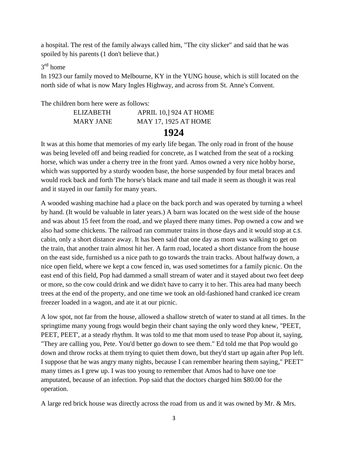a hospital. The rest of the family always called him, "The city slicker" and said that he was spoiled by his parents (1 don't believe that.)

### 3<sup>rd</sup> home

In 1923 our family moved to Melbourne, KY in the YUNG house, which is still located on the north side of what is now Mary Ingles Highway, and across from St. Anne's Convent.

### The children born here were as follows:

|           | 1924                         |
|-----------|------------------------------|
| MARY JANE | <b>MAY 17, 1925 AT HOME</b>  |
| ELIZABETH | <b>APRIL 10, 924 AT HOME</b> |

It was at this home that memories of my early life began. The only road in front of the house was being leveled off and being readied for concrete, as I watched from the seat of a rocking horse, which was under a cherry tree in the front yard. Amos owned a very nice hobby horse, which was supported by a sturdy wooden base, the horse suspended by four metal braces and would rock back and forth The horse's black mane and tail made it seem as though it was real and it stayed in our family for many years.

A wooded washing machine had a place on the back porch and was operated by turning a wheel by hand. (It would be valuable in later years.) A barn was located on the west side of the house and was about 15 feet from the road, and we played there many times. Pop owned a cow and we also had some chickens. The railroad ran commuter trains in those days and it would stop at c.s. cabin, only a short distance away. It has been said that one day as mom was walking to get on the train, that another train almost hit her. A farm road, located a short distance from the house on the east side, furnished us a nice path to go towards the train tracks. About halfway down, a nice open field, where we kept a cow fenced in, was used sometimes for a family picnic. On the east end of this field, Pop had dammed a small stream of water and it stayed about two feet deep or more, so the cow could drink and we didn't have to carry it to her. This area had many beech trees at the end of the property, and one time we took an old-fashioned hand cranked ice cream freezer loaded in a wagon, and ate it at our picnic.

A low spot, not far from the house, allowed a shallow stretch of water to stand at all times. In the springtime many young frogs would begin their chant saying the only word they knew, "PEET, PEET, PEET', at a steady rhythm. It was told to me that mom used to tease Pop about it, saying, "They are calling you, Pete. You'd better go down to see them." Ed told me that Pop would go down and throw rocks at them trying to quiet them down, but they'd start up again after Pop left. I suppose that he was angry many nights, because I can remember hearing them saying," PEET" many times as I grew up. I was too young to remember that Amos had to have one toe amputated, because of an infection. Pop said that the doctors charged him \$80.00 for the operation.

A large red brick house was directly across the road from us and it was owned by Mr. & Mrs.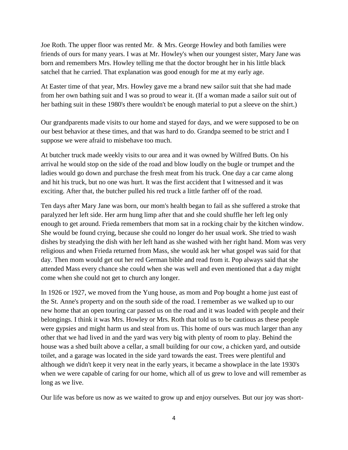Joe Roth. The upper floor was rented Mr. & Mrs. George Howley and both families were friends of ours for many years. I was at Mr. Howley's when our youngest sister, Mary Jane was born and remembers Mrs. Howley telling me that the doctor brought her in his little black satchel that he carried. That explanation was good enough for me at my early age.

At Easter time of that year, Mrs. Howley gave me a brand new sailor suit that she had made from her own bathing suit and I was so proud to wear it. (If a woman made a sailor suit out of her bathing suit in these 1980's there wouldn't be enough material to put a sleeve on the shirt.)

Our grandparents made visits to our home and stayed for days, and we were supposed to be on our best behavior at these times, and that was hard to do. Grandpa seemed to be strict and I suppose we were afraid to misbehave too much.

At butcher truck made weekly visits to our area and it was owned by Wilfred Butts. On his arrival he would stop on the side of the road and blow loudly on the bugle or trumpet and the ladies would go down and purchase the fresh meat from his truck. One day a car came along and hit his truck, but no one was hurt. It was the first accident that I witnessed and it was exciting. After that, the butcher pulled his red truck a little farther off of the road.

Ten days after Mary Jane was born, our mom's health began to fail as she suffered a stroke that paralyzed her left side. Her arm hung limp after that and she could shuffle her left leg only enough to get around. Frieda remembers that mom sat in a rocking chair by the kitchen window. She would be found crying, because she could no longer do her usual work. She tried to wash dishes by steadying the dish with her left hand as she washed with her right hand. Mom was very religious and when Frieda returned from Mass, she would ask her what gospel was said for that day. Then mom would get out her red German bible and read from it. Pop always said that she attended Mass every chance she could when she was well and even mentioned that a day might come when she could not get to church any longer.

In 1926 or 1927, we moved from the Yung house, as mom and Pop bought a home just east of the St. Anne's property and on the south side of the road. I remember as we walked up to our new home that an open touring car passed us on the road and it was loaded with people and their belongings. I think it was Mrs. Howley or Mrs. Roth that told us to be cautious as these people were gypsies and might harm us and steal from us. This home of ours was much larger than any other that we had lived in and the yard was very big with plenty of room to play. Behind the house was a shed built above a cellar, a small building for our cow, a chicken yard, and outside toilet, and a garage was located in the side yard towards the east. Trees were plentiful and although we didn't keep it very neat in the early years, it became a showplace in the late 1930's when we were capable of caring for our home, which all of us grew to love and will remember as long as we live.

Our life was before us now as we waited to grow up and enjoy ourselves. But our joy was short-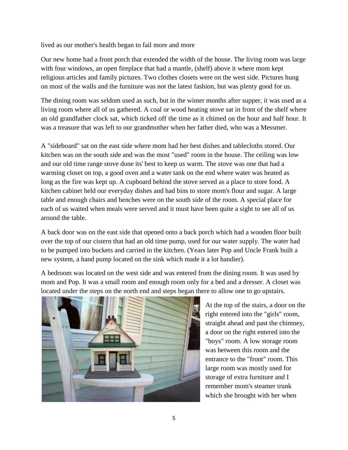lived as our mother's health began to fail more and more

Our new home had a front porch that extended the width of the house. The living room was large with four windows, an open fireplace that had a mantle, (shelf) above it where mom kept religious articles and family pictures. Two clothes closets were on the west side. Pictures hung on most of the walls and the furniture was not the latest fashion, but was plenty good for us.

The dining room was seldom used as such, but in the winter months after supper, it was used as a living room where all of us gathered. A coal or wood heating stove sat in front of the shelf where an old grandfather clock sat, which ticked off the time as it chimed on the hour and half hour. It was a treasure that was left to our grandmother when her father died, who was a Messmer.

A "sideboard" sat on the east side where mom had her best dishes and tablecloths stored. Our kitchen was on the south side and was the most "used" room in the house. The ceiling was low and our old time range stove done its' best to keep us warm. The stove was one that had a warming closet on top, a good oven and a water tank on the end where water was heated as long as the fire was kept up. A cupboard behind the stove served as a place to store food. A kitchen cabinet held our everyday dishes and had bins to store mom's flour and sugar. A large table and enough chairs and benches were on the south side of the room. A special place for each of us waited when meals were served and it must have been quite a sight to see all of us around the table.

A back door was on the east side that opened onto a back porch which had a wooden floor built over the top of our cistern that had an old time pump, used for our water supply. The water had to be pumped into buckets and carried in the kitchen. (Years later Pop and Uncle Frank built a new system, a hand pump located on the sink which made it a lot handier).

A bedroom was located on the west side and was entered from the dining room. It was used by mom and Pop. It was a small room and enough room only for a bed and a dresser. A closet was located under the steps on the north end and steps began there to allow one to go upstairs.



At the top of the stairs, a door on the right entered into the "girls" room, straight ahead and past the chimney, a door on the right entered into the "boys" room. A low storage room was between this room and the entrance to the "front" room. This large room was mostly used for storage of extra furniture and I remember mom's steamer trunk which she brought with her when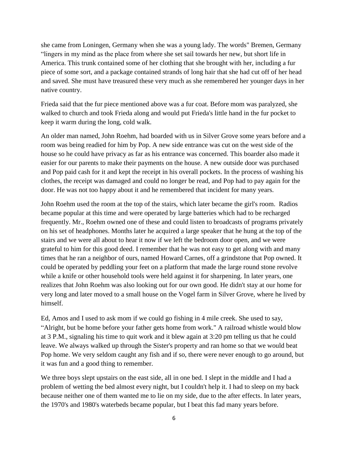she came from Loningen, Germany when she was a young lady. The words" Bremen, Germany "lingers in my mind as the place from where she set sail towards her new, but short life in America. This trunk contained some of her clothing that she brought with her, including a fur piece of some sort, and a package contained strands of long hair that she had cut off of her head and saved. She must have treasured these very much as she remembered her younger days in her native country.

Frieda said that the fur piece mentioned above was a fur coat. Before mom was paralyzed, she walked to church and took Frieda along and would put Frieda's little hand in the fur pocket to keep it warm during the long, cold walk.

An older man named, John Roehm, had boarded with us in Silver Grove some years before and a room was being readied for him by Pop. A new side entrance was cut on the west side of the house so he could have privacy as far as his entrance was concerned. This boarder also made it easier for our parents to make their payments on the house. A new outside door was purchased and Pop paid cash for it and kept the receipt in his overall pockets. In the process of washing his clothes, the receipt was damaged and could no longer be read, and Pop had to pay again for the door. He was not too happy about it and he remembered that incident for many years.

John Roehm used the room at the top of the stairs, which later became the girl's room. Radios became popular at this time and were operated by large batteries which had to be recharged frequently. Mr., Roehm owned one of these and could listen to broadcasts of programs privately on his set of headphones. Months later he acquired a large speaker that he hung at the top of the stairs and we were all about to hear it now if we left the bedroom door open, and we were grateful to him for this good deed. I remember that he was not easy to get along with and many times that he ran a neighbor of ours, named Howard Carnes, off a grindstone that Pop owned. It could be operated by peddling your feet on a platform that made the large round stone revolve while a knife or other household tools were held against it for sharpening. In later years, one realizes that John Roehm was also looking out for our own good. He didn't stay at our home for very long and later moved to a small house on the Vogel farm in Silver Grove, where he lived by himself.

Ed, Amos and I used to ask mom if we could go fishing in 4 mile creek. She used to say, "Alright, but be home before your father gets home from work." A railroad whistle would blow at 3 P.M., signaling his time to quit work and it blew again at 3:20 pm telling us that he could leave. We always walked up through the Sister's property and ran home so that we would beat Pop home. We very seldom caught any fish and if so, there were never enough to go around, but it was fun and a good thing to remember.

We three boys slept upstairs on the east side, all in one bed. I slept in the middle and I had a problem of wetting the bed almost every night, but I couldn't help it. I had to sleep on my back because neither one of them wanted me to lie on my side, due to the after effects. In later years, the 1970's and 1980's waterbeds became popular, but I beat this fad many years before.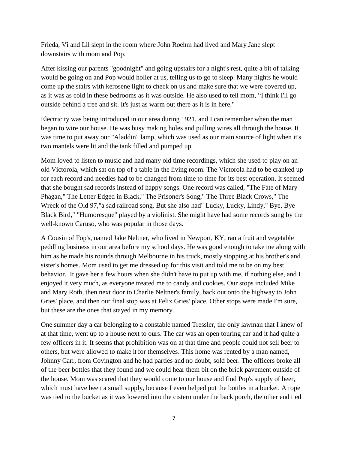Frieda, Vi and Lil slept in the room where John Roehm had lived and Mary Jane slept downstairs with mom and Pop.

After kissing our parents "goodnight" and going upstairs for a night's rest, quite a bit of talking would be going on and Pop would holler at us, telling us to go to sleep. Many nights he would come up the stairs with kerosene light to check on us and make sure that we were covered up, as it was as cold in these bedrooms as it was outside. He also used to tell mom, "I think I'll go outside behind a tree and sit. It's just as warm out there as it is in here."

Electricity was being introduced in our area during 1921, and I can remember when the man began to wire our house. He was busy making holes and pulling wires all through the house. It was time to put away our "Aladdin" lamp, which was used as our main source of light when it's two mantels were lit and the tank filled and pumped up.

Mom loved to listen to music and had many old time recordings, which she used to play on an old Victorola, which sat on top of a table in the living room. The Victorola had to be cranked up for each record and needles had to be changed from time to time for its best operation. It seemed that she bought sad records instead of happy songs. One record was called, "The Fate of Mary Phagan," The Letter Edged in Black," The Prisoner's Song," The Three Black Crows," The Wreck of the Old 97,"a sad railroad song. But she also had" Lucky, Lucky, Lindy," Bye, Bye Black Bird," "Humoresque" played by a violinist. She might have had some records sung by the well-known Caruso, who was popular in those days.

A Cousin of Fop's, named Jake Neltner, who lived in Newport, KY, ran a fruit and vegetable peddling business in our area before my school days. He was good enough to take me along with him as he made his rounds through Melbourne in his truck, mostly stopping at his brother's and sister's homes. Mom used to get me dressed up for this visit and told me to be on my best behavior. It gave her a few hours when she didn't have to put up with me, if nothing else, and I enjoyed it very much, as everyone treated me to candy and cookies. Our stops included Mike and Mary Roth, then next door to Charlie Neltner's family, back out onto the highway to John Gries' place, and then our final stop was at Felix Gries' place. Other stops were made I'm sure, but these are the ones that stayed in my memory.

One summer day a car belonging to a constable named Tressler, the only lawman that I knew of at that time, went up to a house next to ours. The car was an open touring car and it had quite a few officers in it. It seems that prohibition was on at that time and people could not sell beer to others, but were allowed to make it for themselves. This home was rented by a man named, Johnny Carr, from Covington and he had parties and no doubt, sold beer. The officers broke all of the beer bottles that they found and we could hear them bit on the brick pavement outside of the house. Mom was scared that they would come to our house and find Pop's supply of beer, which must have been a small supply, because I even helped put the bottles in a bucket. A rope was tied to the bucket as it was lowered into the cistern under the back porch, the other end tied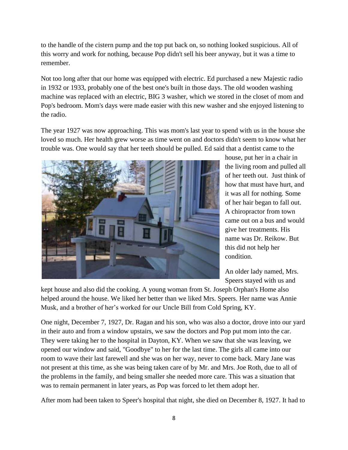to the handle of the cistern pump and the top put back on, so nothing looked suspicious. All of this worry and work for nothing, because Pop didn't sell his beer anyway, but it was a time to remember.

Not too long after that our home was equipped with electric. Ed purchased a new Majestic radio in 1932 or 1933, probably one of the best one's built in those days. The old wooden washing machine was replaced with an electric, BIG 3 washer, which we stored in the closet of mom and Pop's bedroom. Mom's days were made easier with this new washer and she enjoyed listening to the radio.

The year 1927 was now approaching. This was mom's last year to spend with us in the house she loved so much. Her health grew worse as time went on and doctors didn't seem to know what her trouble was. One would say that her teeth should be pulled. Ed said that a dentist came to the



house, put her in a chair in the living room and pulled all of her teeth out. Just think of how that must have hurt, and it was all for nothing. Some of her hair began to fall out. A chiropractor from town came out on a bus and would give her treatments. His name was Dr. Reikow. But this did not help her condition.

An older lady named, Mrs. Speers stayed with us and

kept house and also did the cooking. A young woman from St. Joseph Orphan's Home also helped around the house. We liked her better than we liked Mrs. Speers. Her name was Annie Musk, and a brother of her"s worked for our Uncle Bill from Cold Spring, KY.

One night, December 7, 1927, Dr. Ragan and his son, who was also a doctor, drove into our yard in their auto and from a window upstairs, we saw the doctors and Pop put mom into the car. They were taking her to the hospital in Dayton, KY. When we saw that she was leaving, we opened our window and said, "Goodbye" to her for the last time. The girls all came into our room to wave their last farewell and she was on her way, never to come back. Mary Jane was not present at this time, as she was being taken care of by Mr. and Mrs. Joe Roth, due to all of the problems in the family, and being smaller she needed more care. This was a situation that was to remain permanent in later years, as Pop was forced to let them adopt her.

After mom had been taken to Speer's hospital that night, she died on December 8, 1927. It had to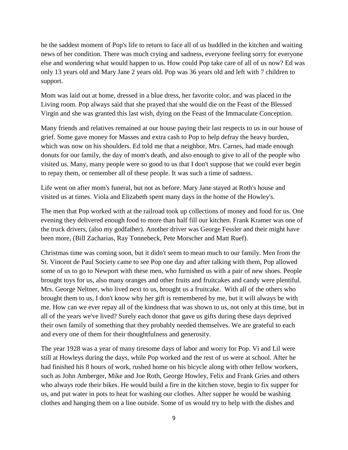be the saddest moment of Pop's life to return to face all of us huddled in the kitchen and waiting news of her condition. There was much crying and sadness, everyone feeling sorry for everyone else and wondering what would happen to us. How could Pop take care of all of us now? Ed was only 13 years old and Mary Jane 2 years old. Pop was 36 years old and left with 7 children to support.

Mom was laid out at home, dressed in a blue dress, her favorite color, and was placed in the Living room. Pop always said that she prayed that she would die on the Feast of the Blessed Virgin and she was granted this last wish, dying on the Feast of the Immaculate Conception.

Many friends and relatives remained at our house paying their last respects to us in our house of grief. Some gave money for Masses and extra cash to Pop to help defray the heavy burden, which was now on his shoulders. Ed told me that a neighbor, Mrs. Carnes, had made enough donuts for our family, the day of mom's death, and also enough to give to all of the people who visited us. Many, many people were so good to us that I don't suppose that we could ever begin to repay them, or remember all of these people. It was such a time of sadness.

Life went on after mom's funeral, but not as before. Mary Jane stayed at Roth's house and visited us at times. Viola and Elizabeth spent many days in the home of the Howley's.

The men that Pop worked with at the railroad took up collections of money and food for us. One evening they delivered enough food to more than half fill our kitchen. Frank Kramer was one of the truck drivers, (also my godfather). Another driver was George Fessler and their might have been more, (Bill Zacharias, Ray Tonnebeck, Pete Morscher and Matt Ruef).

Christmas time was coming soon, but it didn't seem to mean much to our family. Men from the St. Vincent de Paul Society came to see Pop one day and after talking with them, Pop allowed some of us to go to Newport with these men, who furnished us with a pair of new shoes. People brought toys for us, also many oranges and other fruits and fruitcakes and candy were plentiful. Mrs. George Neltner, who lived next to us, brought us a fruitcake. With all of the others who brought them to us, I don't know why her gift is remembered by me, but it will always be with me. How can we ever repay all of the kindness that was shown to us, not only at this time, but in all of the years we've lived? Surely each donor that gave us gifts during these days deprived their own family of something that they probably needed themselves. We are grateful to each and every one of them for their thoughtfulness and generosity.

The year 1928 was a year of many tiresome days of labor and worry for Pop. Vi and Lil were still at Howleys during the days, while Pop worked and the rest of us were at school. After he had finished his 8 hours of work, rushed home on his bicycle along with other fellow workers, such as John Amberger, Mike and Joe Roth, George Howley, Felix and Frank Gries and others who always rode their bikes. He would build a fire in the kitchen stove, begin to fix supper for us, and put water in pots to heat for washing our clothes. After supper he would be washing clothes and hanging them on a line outside. Some of us would try to help with the dishes and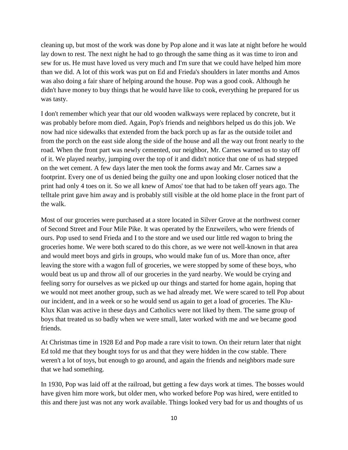cleaning up, but most of the work was done by Pop alone and it was late at night before he would lay down to rest. The next night he had to go through the same thing as it was time to iron and sew for us. He must have loved us very much and I'm sure that we could have helped him more than we did. A lot of this work was put on Ed and Frieda's shoulders in later months and Amos was also doing a fair share of helping around the house. Pop was a good cook. Although he didn't have money to buy things that he would have like to cook, everything he prepared for us was tasty.

I don't remember which year that our old wooden walkways were replaced by concrete, but it was probably before mom died. Again, Pop's friends and neighbors helped us do this job. We now had nice sidewalks that extended from the back porch up as far as the outside toilet and from the porch on the east side along the side of the house and all the way out front nearly to the road. When the front part was newly cemented, our neighbor, Mr. Carnes warned us to stay off of it. We played nearby, jumping over the top of it and didn't notice that one of us had stepped on the wet cement. A few days later the men took the forms away and Mr. Carnes saw a footprint. Every one of us denied being the guilty one and upon looking closer noticed that the print had only 4 toes on it. So we all knew of Amos' toe that had to be taken off years ago. The telltale print gave him away and is probably still visible at the old home place in the front part of the walk.

Most of our groceries were purchased at a store located in Silver Grove at the northwest corner of Second Street and Four Mile Pike. It was operated by the Enzweilers, who were friends of ours. Pop used to send Frieda and I to the store and we used our little red wagon to bring the groceries home. We were both scared to do this chore, as we were not well-known in that area and would meet boys and girls in groups, who would make fun of us. More than once, after leaving the store with a wagon full of groceries, we were stopped by some of these boys, who would beat us up and throw all of our groceries in the yard nearby. We would be crying and feeling sorry for ourselves as we picked up our things and started for home again, hoping that we would not meet another group, such as we had already met. We were scared to tell Pop about our incident, and in a week or so he would send us again to get a load of groceries. The Klu-Klux Klan was active in these days and Catholics were not liked by them. The same group of boys that treated us so badly when we were small, later worked with me and we became good friends.

At Christmas time in 1928 Ed and Pop made a rare visit to town. On their return later that night Ed told me that they bought toys for us and that they were hidden in the cow stable. There weren't a lot of toys, but enough to go around, and again the friends and neighbors made sure that we had something.

In 1930, Pop was laid off at the railroad, but getting a few days work at times. The bosses would have given him more work, but older men, who worked before Pop was hired, were entitled to this and there just was not any work available. Things looked very bad for us and thoughts of us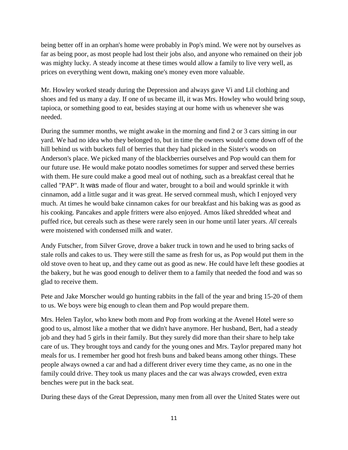being better off in an orphan's home were probably in Pop's mind. We were not by ourselves as far as being poor, as most people had lost their jobs also, and anyone who remained on their job was mighty lucky. A steady income at these times would allow a family to live very well, as prices on everything went down, making one's money even more valuable.

Mr. Howley worked steady during the Depression and always gave Vi and Lil clothing and shoes and fed us many a day. If one of us became ill, it was Mrs. Howley who would bring soup, tapioca, or something good to eat, besides staying at our home with us whenever she was needed.

During the summer months, we might awake in the morning and find 2 or 3 cars sitting in our yard. We had no idea who they belonged to, but in time the owners would come down off of the hill behind us with buckets full of berries that they had picked in the Sister's woods on Anderson's place. We picked many of the blackberries ourselves and Pop would can them for our future use. He would make potato noodles sometimes for supper and served these berries with them. He sure could make a good meal out of nothing, such as a breakfast cereal that he called "PAP". It was made of flour and water, brought to a boil and would sprinkle it with cinnamon, add a little sugar and it was great. He served cornmeal mush, which I enjoyed very much. At times he would bake cinnamon cakes for our breakfast and his baking was as good as his cooking. Pancakes and apple fritters were also enjoyed. Amos liked shredded wheat and puffed rice, but cereals such as these were rarely seen in our home until later years. *All* cereals were moistened with condensed milk and water.

Andy Futscher, from Silver Grove, drove a baker truck in town and he used to bring sacks of stale rolls and cakes to us. They were still the same as fresh for us, as Pop would put them in the old stove oven to heat up, and they came out as good as new. He could have left these goodies at the bakery, but he was good enough to deliver them to a family that needed the food and was so glad to receive them.

Pete and Jake Morscher would go hunting rabbits in the fall of the year and bring 15-20 of them to us. We boys were big enough to clean them and Pop would prepare them.

Mrs. Helen Taylor, who knew both mom and Pop from working at the Avenel Hotel were so good to us, almost like a mother that we didn't have anymore. Her husband, Bert, had a steady job and they had 5 girls in their family. But they surely did more than their share to help take care of us. They brought toys and candy for the young ones and Mrs. Taylor prepared many hot meals for us. I remember her good hot fresh buns and baked beans among other things. These people always owned a car and had a different driver every time they came, as no one in the family could drive. They took us many places and the car was always crowded, even extra benches were put in the back seat.

During these days of the Great Depression, many men from all over the United States were out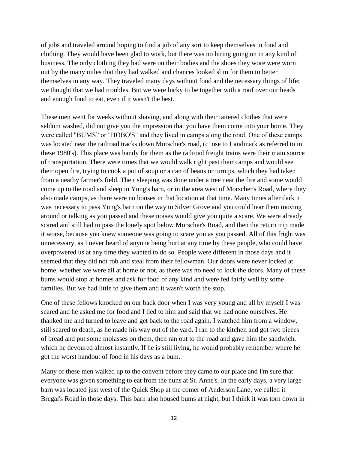of jobs and traveled around hoping to find a job of any sort to keep themselves in food and clothing. They would have been glad to work, but there was no hiring going on in any kind of business. The only clothing they had were on their bodies and the shoes they wore were worn out by the many miles that they had walked and chances looked slim for them to better themselves in any way. They traveled many days without food and the necessary things of life; we thought that we had troubles. But we were lucky to be together with a roof over our heads and enough food to eat, even if it wasn't the best.

These men went for weeks without shaving, and along with their tattered clothes that were seldom washed, did not give you the impression that you have them come into your home. They were called "BUMS" or "HOBO'S" and they lived in camps along the road. One of these camps was located near the railroad tracks down Morscher's road, (c1ose to Landmark as referred to in these 1980's). This place was handy for them as the railroad freight trains were their main source of transportation. There were times that we would walk right past their camps and would see their open fire, trying to cook a pot of soup or a can of beans or turnips, which they had taken from a nearby farmer's field. Their sleeping was done under a tree near the fire and some would come up to the road and sleep in Yung's barn, or in the area west of Morscher's Road, where they also made camps, as there were no houses in that location at that time. Many times after dark it was necessary to pass Yung's barn on the way to Silver Grove and you could hear them moving around or talking as you passed and these noises would give you quite a scare. We were already scared and still had to pass the lonely spot below Morscher's Road, and then the return trip made it worse, because you knew someone was going to scare you as you passed. All of this fright was unnecessary, as I never heard of anyone being hurt at any time by these people, who could have overpowered us at any time they wanted to do so. People were different in those days and it seemed that they did not rob and steal from their fellowman. Our doors were never locked at home, whether we were all at home or not, as there was no need to lock the doors. Many of these bums would stop at homes and ask for food of any kind and were fed fairly well by some families. But we had little to give them and it wasn't worth the stop.

One of these fellows knocked on our back door when I was very young and all by myself I was scared and he asked me for food and I lied to him and said that we had none ourselves. He thanked me and turned to leave and get back to the road again. I watched him from a window, still scared to death, as he made his way out of the yard. I ran to the kitchen and got two pieces of bread and put some molasses on them, then ran out to the road and gave him the sandwich, which he devoured almost instantly. If he is still living, he would probably remember where he got the worst handout of food in his days as a bum.

Many of these men walked up to the convent before they came to our place and I'm sure that everyone was given something to eat from the nuns at St. Anne's. In the early days, a very large barn was located just west of the Quick Shop at the comer of Anderson Lane; we called it Bregal's Road in those days. This barn also housed bums at night, but I think it was torn down in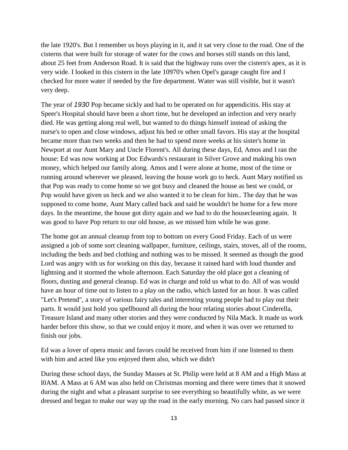the late 1920's. But I remember us boys playing in it, and it sat very close to the road. One of the cisterns that were built for storage of water for the cows and horses still stands on this land, about 25 feet from Anderson Road. It is said that the highway runs over the cistern's apex, as it is very wide. I looked in this cistern in the late 10970's when Opel's garage caught fire and I checked for more water if needed by the fire department. Water was still visible, but it wasn't very deep.

The year of *1930* Pop became sickly and had to be operated on for appendicitis. His stay at Speer's Hospital should have been a short time, but he developed an infection and very nearly died. He was getting along real well, but wanted to do things himself instead of asking the nurse's to open and close windows, adjust his bed or other small favors. His stay at the hospital became more than two weeks and then he had to spend more weeks at his sister's home in Newport at our Aunt Mary and Uncle Florent's. All during these days, Ed, Amos and I ran the house: Ed was now working at Doc Edwards's restaurant in Silver Grove and making his own money, which helped our family along. Amos and I were alone at home, most of the time or running around wherever we pleased, leaving the house work go to heck. Aunt Mary notified us that Pop was ready to come home so we got busy and cleaned the house as best we could, or Pop would have given us heck and we also wanted it to be clean for him.. The day that he was supposed to come home, Aunt Mary called back and said he wouldn't be home for a few more days. In the meantime, the house got dirty again and we had to do the housecleaning again. It was good to have Pop return to our old house, as we missed him while he was gone.

The home got an annual cleanup from top to bottom on every Good Friday. Each of us were assigned a job of some sort cleaning wallpaper, furniture, ceilings, stairs, stoves, all of the rooms, including the beds and bed clothing and nothing was to be missed. It seemed as though the good Lord was angry with us for working on this day, because it rained hard with loud thunder and lightning and it stormed the whole afternoon. Each Saturday the old place got a cleaning of floors, dusting and general cleanup. Ed was in charge and told us what to do. All of was would have an hour of time out to listen to a play on the radio, which lasted for an hour. It was called "Let's Pretend", a story of various fairy tales and interesting young people had to play out their parts. It would just hold you spellbound all during the hour relating stories about Cinderella, Treasure Island and many other stories and they were conducted by Nila Mack. It made us work harder before this show, so that we could enjoy it more, and when it was over we returned to finish our jobs.

Ed was a lover of opera music and favors could be received from him if one listened to them with him and acted like you enjoyed them also, which we didn't

During these school days, the Sunday Masses at St. Philip were held at 8 AM and a High Mass at l0AM. A Mass at 6 AM was also held on Christmas morning and there were times that it snowed during the night and what a pleasant surprise to see everything so beautifully white, as we were dressed and began to make our way up the road in the early morning. No cars had passed since it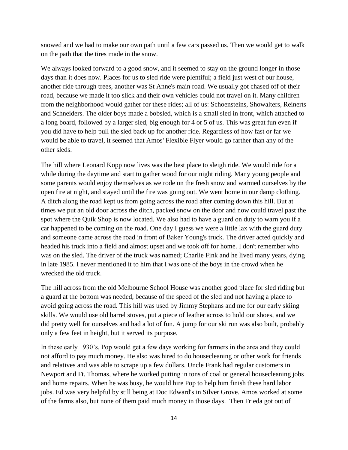snowed and we had to make our own path until a few cars passed us. Then we would get to walk on the path that the tires made in the snow.

We always looked forward to a good snow, and it seemed to stay on the ground longer in those days than it does now. Places for us to sled ride were plentiful; a field just west of our house, another ride through trees, another was St Anne's main road. We usually got chased off of their road, because we made it too slick and their own vehicles could not travel on it. Many children from the neighborhood would gather for these rides; all of us: Schoensteins, Showalters, Reinerts and Schneiders. The older boys made a bobsled, which is a small sled in front, which attached to a long board, followed by a larger sled, big enough for 4 or 5 of us. This was great fun even if you did have to help pull the sled back up for another ride. Regardless of how fast or far we would be able to travel, it seemed that Amos' Flexible Flyer would go farther than any of the other sleds.

The hill where Leonard Kopp now lives was the best place to sleigh ride. We would ride for a while during the daytime and start to gather wood for our night riding. Many young people and some parents would enjoy themselves as we rode on the fresh snow and warmed ourselves by the open fire at night, and stayed until the fire was going out. We went home in our damp clothing. A ditch along the road kept us from going across the road after coming down this hill. But at times we put an old door across the ditch, packed snow on the door and now could travel past the spot where the Quik Shop is now located. We also had to have a guard on duty to warn you if a car happened to be coming on the road. One day I guess we were a little lax with the guard duty and someone came across the road in front of Baker Young's truck. The driver acted quickly and headed his truck into a field and almost upset and we took off for home. I don't remember who was on the sled. The driver of the truck was named; Charlie Fink and he lived many years, dying in late 1985. I never mentioned it to him that I was one of the boys in the crowd when he wrecked the old truck.

The hill across from the old Melbourne School House was another good place for sled riding but a guard at the bottom was needed, because of the speed of the sled and not having a place to avoid going across the road. This hill was used by Jimmy Stephans and me for our early skiing skills. We would use old barrel stoves, put a piece of leather across to hold our shoes, and we did pretty well for ourselves and had a lot of fun. A jump for our ski run was also built, probably only a few feet in height, but it served its purpose.

In these early 1930"s, Pop would get a few days working for farmers in the area and they could not afford to pay much money. He also was hired to do housecleaning or other work for friends and relatives and was able to scrape up a few dollars. Uncle Frank had regular customers in Newport and Ft. Thomas, where he worked putting in tons of coal or general housecleaning jobs and home repairs. When he was busy, he would hire Pop to help him finish these hard labor jobs. Ed was very helpful by still being at Doc Edward's in Silver Grove. Amos worked at some of the farms also, but none of them paid much money in those days. Then Frieda got out of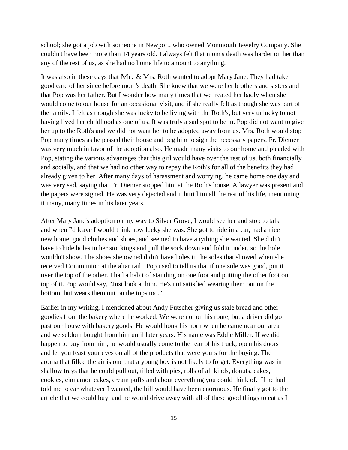school; she got a job with someone in Newport, who owned Monmouth Jewelry Company. She couldn't have been more than 14 years old. I always felt that mom's death was harder on her than any of the rest of us, as she had no home life to amount to anything.

It was also in these days that Mr. & Mrs. Roth wanted to adopt Mary Jane. They had taken good care of her since before mom's death. She knew that we were her brothers and sisters and that Pop was her father. But I wonder how many times that we treated her badly when she would come to our house for an occasional visit, and if she really felt as though she was part of the family. I felt as though she was lucky to be living with the Roth's, but very unlucky to not having lived her childhood as one of us. It was truly a sad spot to be in. Pop did not want to give her up to the Roth's and we did not want her to be adopted away from us. Mrs. Roth would stop Pop many times as he passed their house and beg him to sign the necessary papers. Fr. Diemer was very much in favor of the adoption also. He made many visits to our home and pleaded with Pop, stating the various advantages that this girl would have over the rest of us, both financially and socially, and that we had no other way to repay the Roth's for all of the benefits they had already given to her. After many days of harassment and worrying, he came home one day and was very sad, saying that Fr. Diemer stopped him at the Roth's house. A lawyer was present and the papers were signed. He was very dejected and it hurt him all the rest of his life, mentioning it many, many times in his later years.

After Mary Jane's adoption on my way to Silver Grove, I would see her and stop to talk and when I'd leave I would think how lucky she was. She got to ride in a car, had a nice new home, good clothes and shoes, and seemed to have anything she wanted. She didn't have to hide holes in her stockings and pull the sock down and fold it under, so the hole wouldn't show. The shoes she owned didn't have holes in the soles that showed when she received Communion at the altar rail. Pop used to tell us that if one sole was good, put it over the top of the other. I had a habit of standing on one foot and putting the other foot on top of it. Pop would say, "Just look at him. He's not satisfied wearing them out on the bottom, but wears them out on the tops too."

Earlier in my writing, I mentioned about Andy Futscher giving us stale bread and other goodies from the bakery where he worked. We were not on his route, but a driver did go past our house with bakery goods. He would honk his horn when he came near our area and we seldom bought from him until later years. His name was Eddie Miller. If we did happen to buy from him, he would usually come to the rear of his truck, open his doors and let you feast your eyes on all of the products that were yours for the buying. The aroma that filled the air is one that a young boy is not likely to forget. Everything was in shallow trays that he could pull out, tilled with pies, rolls of all kinds, donuts, cakes, cookies, cinnamon cakes, cream puffs and about everything you could think of. If he had told me to ear whatever I wanted, the bill would have been enormous. He finally got to the article that we could buy, and he would drive away with all of these good things to eat as I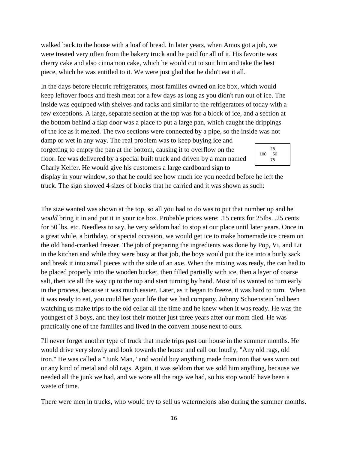walked back to the house with a loaf of bread. In later years, when Amos got a job, we were treated very often from the bakery truck and he paid for all of it. His favorite was cherry cake and also cinnamon cake, which he would cut to suit him and take the best piece, which he was entitled to it. We were just glad that he didn't eat it all.

In the days before electric refrigerators, most families owned on ice box, which would keep leftover foods and fresh meat for a few days as long as you didn't run out of ice. The inside was equipped with shelves and racks and similar to the refrigerators of today with a few exceptions. A large, separate section at the top was for a block of ice, and a section at the bottom behind a flap door was a place to put a large pan, which caught the drippings of the ice as it melted. The two sections were connected by a pipe, so the inside was not

damp or wet in any way. The real problem was to keep buying ice and forgetting to empty the pan at the bottom, causing it to overflow on the floor. Ice was delivered by a special built truck and driven by a man named Charly Keifer. He would give his customers a large cardboard sign to



display in your window, so that he could see how much ice you needed before he left the truck. The sign showed 4 sizes of blocks that he carried and it was shown as such:

The size wanted was shown at the top, so all you had to do was to put that number up and he *would* bring it in and put it in your ice box. Probable prices were: .15 cents for 25Ibs. .25 cents for 50 lbs. etc. Needless to say, he very seldom had to stop at our place until later years. Once in a great while, a birthday, or special occasion, we would get ice to make homemade ice cream on the old hand-cranked freezer. The job of preparing the ingredients was done by Pop, Vi, and Lit in the kitchen and while they were busy at that job, the boys would put the ice into a burly sack and break it into small pieces with the side of an axe. When the mixing was ready, the can had to be placed properly into the wooden bucket, then filled partially with ice, then a layer of coarse salt, then ice all the way up to the top and start turning by hand. Most of us wanted to turn early in the process, because it was much easier. Later, as it began to freeze, it was hard to turn. When it was ready to eat, you could bet your life that we had company. Johnny Schoenstein had been watching us make trips to the old cellar all the time and he knew when it was ready. He was the youngest of 3 boys, and they lost their mother just three years after our mom died. He was practically one of the families and lived in the convent house next to ours.

I'll never forget another type of truck that made trips past our house in the summer months. He would drive very slowly and look towards the house and call out loudly, "Any old rags, old iron." He was called a "Junk Man," and would buy anything made from iron that was worn out or any kind of metal and old rags. Again, it was seldom that we sold him anything, because we needed all the junk we had, and we wore all the rags we had, so his stop would have been a waste of time.

There were men in trucks, who would try to sell us watermelons also during the summer months.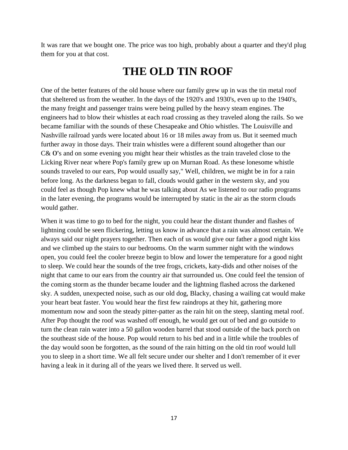It was rare that we bought one. The price was too high, probably about a quarter and they'd plug them for you at that cost.

### **THE OLD TIN ROOF**

One of the better features of the old house where our family grew up in was the tin metal roof that sheltered us from the weather. In the days of the 1920's and 1930's, even up to the 1940's, the many freight and passenger trains were being pulled by the heavy steam engines. The engineers had to blow their whistles at each road crossing as they traveled along the rails. So we became familiar with the sounds of these Chesapeake and Ohio whistles. The Louisville and Nashville railroad yards were located about 16 or 18 miles away from us. But it seemed much further away in those days. Their train whistles were a different sound altogether than our C& 0's and on some evening you might hear their whistles as the train traveled close to the Licking River near where Pop's family grew up on Murnan Road. As these lonesome whistle sounds traveled to our ears, Pop would usually say," Well, children, we might be in for a rain before long. As the darkness began to fall, clouds would gather in the western sky, and you could feel as though Pop knew what he was talking about As we listened to our radio programs in the later evening, the programs would be interrupted by static in the air as the storm clouds would gather.

When it was time to go to bed for the night, you could hear the distant thunder and flashes of lightning could be seen flickering, letting us know in advance that a rain was almost certain. We always said our night prayers together. Then each of us would give our father a good night kiss and we climbed up the stairs to our bedrooms. On the warm summer night with the windows open, you could feel the cooler breeze begin to blow and lower the temperature for a good night to sleep. We could hear the sounds of the tree frogs, crickets, katy-dids and other noises of the night that came to our ears from the country air that surrounded us. One could feel the tension of the coming storm as the thunder became louder and the lightning flashed across the darkened sky. A sudden, unexpected noise, such as our old dog, Blacky, chasing a wailing cat would make your heart beat faster. You would hear the first few raindrops at they hit, gathering more momentum now and soon the steady pitter-patter as the rain hit on the steep, slanting metal roof. After Pop thought the roof was washed off enough, he would get out of bed and go outside to turn the clean rain water into a 50 gallon wooden barrel that stood outside of the back porch on the southeast side of the house. Pop would return to his bed and in a little while the troubles of the day would soon be forgotten, as the sound of the rain hitting on the old tin roof would lull you to sleep in a short time. We all felt secure under our shelter and I don't remember of it ever having a leak in it during all of the years we lived there. It served us well.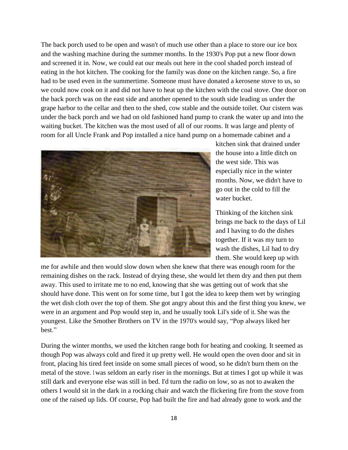The back porch used to be open and wasn't of much use other than a place to store our ice box and the washing machine during the summer months. In the 1930's Pop put a new floor down and screened it in. Now, we could eat our meals out here in the cool shaded porch instead of eating in the hot kitchen. The cooking for the family was done on the kitchen range. So, a fire had to be used even in the summertime. Someone must have donated a kerosene stove to us, so we could now cook on it and did not have to heat up the kitchen with the coal stove. One door on the back porch was on the east side and another opened to the south side leading us under the grape harbor to the cellar and then to the shed, cow stable and the outside toilet. Our cistern was under the back porch and we had on old fashioned hand pump to crank the water up and into the waiting bucket. The kitchen was the most used of all of our rooms. It was large and plenty of room for all Uncle Frank and Pop installed a nice hand pump on a homemade cabinet and a



kitchen sink that drained under the house into a little ditch on the west side. This was especially nice in the winter months. Now, we didn't have to go out in the cold to fill the water bucket.

Thinking of the kitchen sink brings me back to the days of Lil and I having to do the dishes together. If it was my turn to wash the dishes, Lil had to dry them. She would keep up with

me for awhile and then would slow down when she knew that there was enough room for the remaining dishes on the rack. Instead of drying these, she would let them dry and then put them away. This used to irritate me to no end, knowing that she was getting out of work that she should have done. This went on for some time, but I got the idea to keep them wet by wringing the wet dish cloth over the top of them. She got angry about this and the first thing you knew, we were in an argument and Pop would step in, and he usually took Lil's side of it. She was the youngest. Like the Smother Brothers on TV in the 1970's would say, "Pop always liked her best."

During the winter months, we used the kitchen range both for heating and cooking. It seemed as though Pop was always cold and fired it up pretty well. He would open the oven door and sit in front, placing his tired feet inside on some small pieces of wood, so he didn't burn them on the metal of the stove. I was seldom an early riser in the mornings. But at times I got up while it was still dark and everyone else was still in bed. I'd turn the radio on low, so as not to awaken the others I would sit in the dark in a rocking chair and watch the flickering fire from the stove from one of the raised up lids. Of course, Pop had built the fire and had already gone to work and the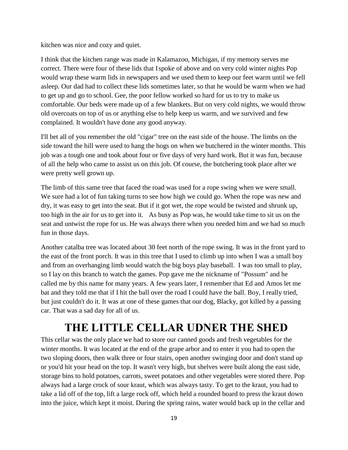kitchen was nice and cozy and quiet.

I think that the kitchen range was made in Kalamazoo, Michigan, if my memory serves me correct. There were four of these lids that Ispoke of above and on very cold winter nights Pop would wrap these warm lids in newspapers and we used them to keep our feet warm until we fell asleep. Our dad had to collect these lids sometimes later, so that he would be warm when we had to get up and go to school. Gee, the poor fellow worked so hard for us to try to make us comfortable. Our beds were made up of a few blankets. But on very cold nights, we would throw old overcoats on top of us or anything else to help keep us warm, and we survived and few complained. It wouldn't have done any good anyway.

I'll bet all of you remember the old "cigar" tree on the east side of the house. The limbs on the side toward the hill were used to hang the hogs on when we butchered in the winter months. This job was a tough one and took about four or five days of very hard work. But it was fun, because of all the help who came to assist us on this job. Of course, the butchering took place after we were pretty well grown up.

The limb of this same tree that faced the road was used for a rope swing when we were small. We sure had a lot of fun taking turns to see how high we could go. When the rope was new and dry, it was easy to get into the seat. But if it got wet, the rope would be twisted and shrunk up, too high in the air for us to get into it. As busy as Pop was, he would take time to sit us on the seat and untwist the rope for us. He was always there when you needed him and we had so much fun in those days.

Another catalba tree was located about 30 feet north of the rope swing. It was in the front yard to the east of the front porch. It was in this tree that I used to climb up into when I was a small boy and from an overhanging limb would watch the big boys play baseball. I was too small to play, so I lay on this branch to watch the games. Pop gave me the nickname of "Possum" and he called me by this name for many years. A few years later, I remember that Ed and Amos let me bat and they told me that if I hit the ball over the road I could have the ball. Boy, I really tried, but just couldn't do it. It was at one of these games that our dog, Blacky, got killed by a passing car. That was a sad day for all of us.

### **THE LITTLE CELLAR UDNER THE SHED**

This cellar was the only place we had to store our canned goods and fresh vegetables for the winter months. It was located at the end of the grape arbor and to enter it you had to open the two sloping doors, then walk three or four stairs, open another swinging door and don't stand up or you'd hit your head on the top. It wasn't very high, but shelves were built along the east side, storage bins to hold potatoes, carrots, sweet potatoes and other vegetables were stored there. Pop always had a large crock of sour kraut, which was always tasty. To get to the kraut, you had to take a lid off of the top, lift a large rock off, which held a rounded board to press the kraut down into the juice, which kept it moist. During the spring rains, water would back up in the cellar and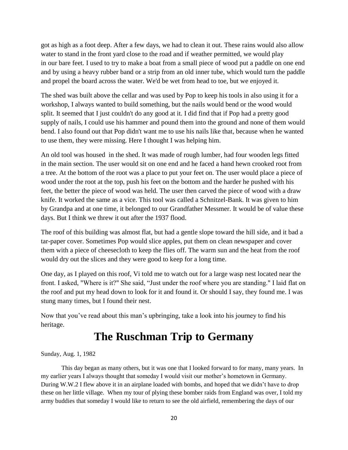got as high as a foot deep. After a few days, we had to clean it out. These rains would also allow water to stand in the front yard close to the road and if weather permitted, we would play in our bare feet. I used to try to make a boat from a small piece of wood put a paddle on one end and by using a heavy rubber band or a strip from an old inner tube, which would turn the paddle and propel the board across the water. We'd be wet from head to toe, but we enjoyed it.

The shed was built above the cellar and was used by Pop to keep his tools in also using it for a workshop, I always wanted to build something, but the nails would bend or the wood would split. It seemed that I just couldn't do any good at it. I did find that if Pop had a pretty good supply of nails, I could use his hammer and pound them into the ground and none of them would bend. I also found out that Pop didn't want me to use his nails like that, because when he wanted to use them, they were missing. Here I thought I was helping him.

An old tool was housed in the shed. It was made of rough lumber, had four wooden legs fitted in the main section. The user would sit on one end and he faced a hand hewn crooked root from a tree. At the bottom of the root was a place to put your feet on. The user would place a piece of wood under the root at the top, push his feet on the bottom and the harder he pushed with his feet, the better the piece of wood was held. The user then carved the piece of wood with a draw knife. It worked the same as a vice. This tool was called a Schnitzel-Bank. It was given to him by Grandpa and at one time, it belonged to our Grandfather Messmer. It would be of value these days. But I think we threw it out after the 1937 flood.

The roof of this building was almost flat, but had a gentle slope toward the hill side, and it bad a tar-paper cover. Sometimes Pop would slice apples, put them on clean newspaper and cover them with a piece of cheesecloth to keep the flies off. The warm sun and the heat from the roof would dry out the slices and they were good to keep for a long time.

One day, as I played on this roof, Vi told me to watch out for a large wasp nest located near the front. I asked, "Where is it?" She said, "Just under the roof where you are standing." I laid flat on the roof and put my head down to look for it and found it. Or should I say, they found me. I was stung many times, but I found their nest.

Now that you"ve read about this man"s upbringing, take a look into his journey to find his heritage.

## **The Ruschman Trip to Germany**

Sunday, Aug. 1, 1982

This day began as many others, but it was one that I looked forward to for many, many years. In my earlier years I always thought that someday I would visit our mother"s hometown in Germany. During W.W.2 I flew above it in an airplane loaded with bombs, and hoped that we didn"t have to drop these on her little village. When my tour of plying these bomber raids from England was over, I told my army buddies that someday I would like to return to see the old airfield, remembering the days of our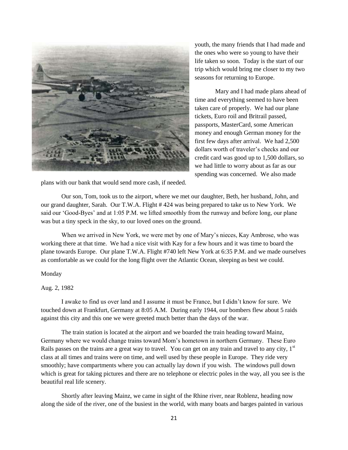

youth, the many friends that I had made and the ones who were so young to have their life taken so soon. Today is the start of our trip which would bring me closer to my two seasons for returning to Europe.

Mary and I had made plans ahead of time and everything seemed to have been taken care of properly. We had our plane tickets, Euro roil and Britrail passed, passports, MasterCard, some American money and enough German money for the first few days after arrival. We had 2,500 dollars worth of traveler"s checks and our credit card was good up to 1,500 dollars, so we had little to worry about as far as our spending was concerned. We also made

plans with our bank that would send more cash, if needed.

Our son, Tom, took us to the airport, where we met our daughter, Beth, her husband, John, and our grand daughter, Sarah. Our T.W.A. Flight # 424 was being prepared to take us to New York. We said our 'Good-Byes' and at 1:05 P.M. we lifted smoothly from the runway and before long, our plane was but a tiny speck in the sky, to our loved ones on the ground.

When we arrived in New York, we were met by one of Mary"s nieces, Kay Ambrose, who was working there at that time. We had a nice visit with Kay for a few hours and it was time to board the plane towards Europe. Our plane T.W.A. Flight #740 left New York at 6:35 P.M. and we made ourselves as comfortable as we could for the long flight over the Atlantic Ocean, sleeping as best we could.

### Monday

### Aug. 2, 1982

I awake to find us over land and I assume it must be France, but I didn"t know for sure. We touched down at Frankfurt, Germany at 8:05 A.M. During early 1944, our bombers flew about 5 raids against this city and this one we were greeted much better than the days of the war.

The train station is located at the airport and we boarded the train heading toward Mainz, Germany where we would change trains toward Mom"s hometown in northern Germany. These Euro Rails passes on the trains are a great way to travel. You can get on any train and travel to any city, 1<sup>st</sup> class at all times and trains were on time, and well used by these people in Europe. They ride very smoothly; have compartments where you can actually lay down if you wish. The windows pull down which is great for taking pictures and there are no telephone or electric poles in the way, all you see is the beautiful real life scenery.

Shortly after leaving Mainz, we came in sight of the Rhine river, near Roblenz, heading now along the side of the river, one of the busiest in the world, with many boats and barges painted in various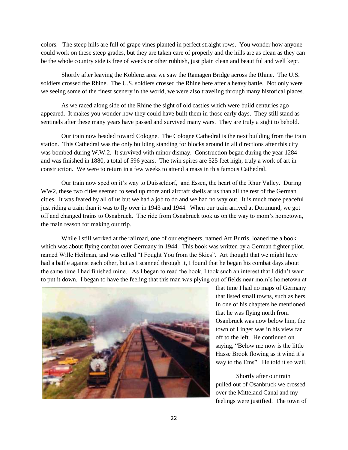colors. The steep hills are full of grape vines planted in perfect straight rows. You wonder how anyone could work on these steep grades, but they are taken care of properly and the hills are as clean as they can be the whole country side is free of weeds or other rubbish, just plain clean and beautiful and well kept.

Shortly after leaving the Koblenz area we saw the Ramagen Bridge across the Rhine. The U.S. soldiers crossed the Rhine. The U.S. soldiers crossed the Rhine here after a heavy battle. Not only were we seeing some of the finest scenery in the world, we were also traveling through many historical places.

As we raced along side of the Rhine the sight of old castles which were build centuries ago appeared. It makes you wonder how they could have built them in those early days. They still stand as sentinels after these many years have passed and survived many wars. They are truly a sight to behold.

Our train now headed toward Cologne. The Cologne Cathedral is the next building from the train station. This Cathedral was the only building standing for blocks around in all directions after this city was bombed during W.W.2. It survived with minor dismay. Construction began during the year 1284 and was finished in 1880, a total of 596 years. The twin spires are 525 feet high, truly a work of art in construction. We were to return in a few weeks to attend a mass in this famous Cathedral.

Our train now sped on it"s way to Duisseldorf, and Essen, the heart of the Rhur Valley. During WW2, these two cities seemed to send up more anti aircraft shells at us than all the rest of the German cities. It was feared by all of us but we had a job to do and we had no way out. It is much more peaceful just riding a train than it was to fly over in 1943 and 1944. When our train arrived at Dortmund, we got off and changed trains to Osnabruck. The ride from Osnabruck took us on the way to mom"s hometown, the main reason for making our trip.

While I still worked at the railroad, one of our engineers, named Art Burris, loaned me a book which was about flying combat over Germany in 1944. This book was written by a German fighter pilot, named Wille Heilman, and was called "I Fought You from the Skies". Art thought that we might have had a battle against each other, but as I scanned through it, I found that he began his combat days about the same time I had finished mine. As I began to read the book, I took such an interest that I didn"t want to put it down. I began to have the feeling that this man was plying out of fields near mom"s hometown at



that time I had no maps of Germany that listed small towns, such as hers. In one of his chapters he mentioned that he was flying north from Osanbruck was now below him, the town of Linger was in his view far off to the left. He continued on saying, "Below me now is the little Hasse Brook flowing as it wind it's way to the Ems". He told it so well.

Shortly after our train pulled out of Osanbruck we crossed over the Mitteland Canal and my feelings were justified. The town of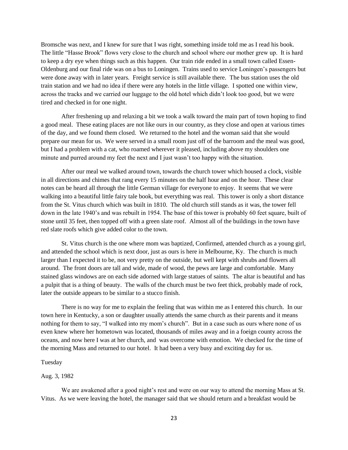Bromsche was next, and I knew for sure that I was right, something inside told me as I read his book. The little "Hasse Brook" flows very close to the church and school where our mother grew up. It is hard to keep a dry eye when things such as this happen. Our train ride ended in a small town called Essen-Oldenburg and our final ride was on a bus to Loningen. Trains used to service Loningen"s passengers but were done away with in later years. Freight service is still available there. The bus station uses the old train station and we had no idea if there were any hotels in the little village. I spotted one within view, across the tracks and we carried our luggage to the old hotel which didn"t look too good, but we were tired and checked in for one night.

After freshening up and relaxing a bit we took a walk toward the main part of town hoping to find a good meal. These eating places are not like ours in our country, as they close and open at various times of the day, and we found them closed. We returned to the hotel and the woman said that she would prepare our mean for us. We were served in a small room just off of the barroom and the meal was good, but I had a problem with a cat, who roamed wherever it pleased, including above my shoulders one minute and purred around my feet the next and I just wasn"t too happy with the situation.

After our meal we walked around town, towards the church tower which housed a clock, visible in all directions and chimes that rang every 15 minutes on the half hour and on the hour. These clear notes can be heard all through the little German village for everyone to enjoy. It seems that we were walking into a beautiful little fairy tale book, but everything was real. This tower is only a short distance from the St. Vitus church which was built in 1810. The old church still stands as it was, the tower fell down in the late 1940's and was rebuilt in 1954. The base of this tower is probably 60 feet square, built of stone until 35 feet, then topped off with a green slate roof. Almost all of the buildings in the town have red slate roofs which give added color to the town.

St. Vitus church is the one where mom was baptized, Confirmed, attended church as a young girl, and attended the school which is next door, just as ours is here in Melbourne, Ky. The church is much larger than I expected it to be, not very pretty on the outside, but well kept with shrubs and flowers all around. The front doors are tall and wide, made of wood, the pews are large and comfortable. Many stained glass windows are on each side adorned with large statues of saints. The altar is beautiful and has a pulpit that is a thing of beauty. The walls of the church must be two feet thick, probably made of rock, later the outside appears to be similar to a stucco finish.

There is no way for me to explain the feeling that was within me as I entered this church. In our town here in Kentucky, a son or daughter usually attends the same church as their parents and it means nothing for them to say, "I walked into my mom"s church". But in a case such as ours where none of us even knew where her hometown was located, thousands of miles away and in a foeign county across the oceans, and now here I was at her church, and was overcome with emotion. We checked for the time of the morning Mass and returned to our hotel. It had been a very busy and exciting day for us.

### Tuesday

#### Aug. 3, 1982

We are awakened after a good night's rest and were on our way to attend the morning Mass at St. Vitus. As we were leaving the hotel, the manager said that we should return and a breakfast would be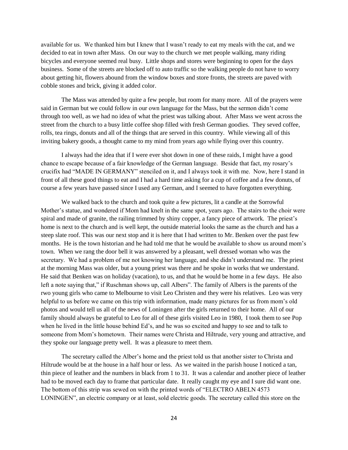available for us. We thanked him but I knew that I wasn"t ready to eat my meals with the cat, and we decided to eat in town after Mass. On our way to the church we met people walking, many riding bicycles and everyone seemed real busy. Little shops and stores were beginning to open for the days business. Some of the streets are blocked off to auto traffic so the walking people do not have to worry about getting hit, flowers abound from the window boxes and store fronts, the streets are paved with cobble stones and brick, giving it added color.

The Mass was attended by quite a few people, but room for many more. All of the prayers were said in German but we could follow in our own language for the Mass, but the sermon didn"t come through too well, as we had no idea of what the priest was talking about. After Mass we went across the street from the church to a busy little coffee shop filled with fresh German goodies. They seved coffee, rolls, tea rings, donuts and all of the things that are served in this country. While viewing all of this inviting bakery goods, a thought came to my mind from years ago while flying over this country.

I always had the idea that if I were ever shot down in one of these raids, I might have a good chance to escape because of a fair knowledge of the German language. Beside that fact, my rosary"s crucifix had "MADE IN GERMANY" stenciled on it, and I always took it with me. Now, here I stand in front of all these good things to eat and I had a hard time asking for a cup of coffee and a few donuts, of course a few years have passed since I used any German, and I seemed to have forgotten everything.

We walked back to the church and took quite a few pictures, lit a candle at the Sorrowful Mother"s statue, and wondered if Mom had knelt in the same spot, years ago. The stairs to the choir were spiral and made of granite, the railing trimmed by shiny copper, a fancy piece of artwork. The priest"s home is next to the church and is well kept, the outside material looks the same as the church and has a steep slate roof. This was our next stop and it is here that I had written to Mr. Benken over the past few months. He is the town historian and he had told me that he would be available to show us around mom"s town. When we rang the door bell it was answered by a pleasant, well dressed woman who was the secretary. We had a problem of me not knowing her language, and she didn"t understand me. The priest at the morning Mass was older, but a young priest was there and he spoke in works that we understand. He said that Benken was on holiday (vacation), to us, and that he would be home in a few days. He also left a note saying that," if Ruschman shows up, call Albers". The family of Albers is the parents of the rwo young girls who came to Melbourne to visit Leo Christen and they were his relatives. Leo was very helpful to us before we came on this trip with information, made many pictures for us from mom's old photos and would tell us all of the news of Loningen after the girls returned to their home. All of our family should always be grateful to Leo for all of these girls visited Leo in 1980, I took them to see Pop when he lived in the little house behind Ed"s, and he was so excited and happy to see and to talk to someone from Mom"s hometown. Their names were Christa and Hiltrude, very young and attractive, and they spoke our language pretty well. It was a pleasure to meet them.

The secretary called the Alber"s home and the priest told us that another sister to Christa and Hiltrude would be at the house in a half hour or less. As we waited in the parish house I noticed a tan, thin piece of leather and the numbers in black from 1 to 31. It was a calendar and another piece of leather had to be moved each day to frame that particular date. It really caught my eye and I sure did want one. The bottom of this strip was sewed on with the printed words of "ELECTRO ABELN 4573 LONINGEN", an electric company or at least, sold electric goods. The secretary called this store on the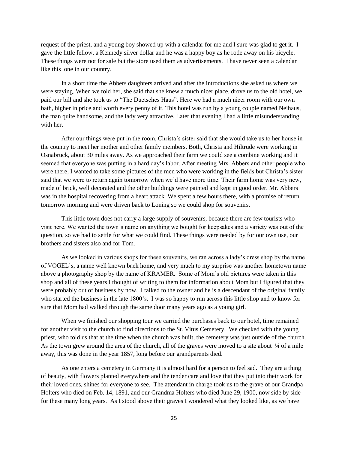request of the priest, and a young boy showed up with a calendar for me and I sure was glad to get it. I gave the little fellow, a Kennedy silver dollar and he was a happy boy as he rode away on his bicycle. These things were not for sale but the store used them as advertisements. I have never seen a calendar like this one in our country.

In a short time the Abbers daughters arrived and after the introductions she asked us where we were staying. When we told her, she said that she knew a much nicer place, drove us to the old hotel, we paid our bill and she took us to "The Duetsches Haus". Here we had a much nicer room with our own bath, higher in price and worth every penny of it. This hotel was run by a young couple named Neihaus, the man quite handsome, and the lady very attractive. Later that evening I had a little misunderstanding with her.

After our things were put in the room, Christa"s sister said that she would take us to her house in the country to meet her mother and other family members. Both, Christa and Hiltrude were working in Osnabruck, about 30 miles away. As we approached their farm we could see a combine working and it seemed that everyone was putting in a hard day"s labor. After meeting Mrs. Abbers and other people who were there, I wanted to take some pictures of the men who were working in the fields but Christa"s sister said that we were to return again tomorrow when we"d have more time. Their farm home was very new, made of brick, well decorated and the other buildings were painted and kept in good order. Mr. Abbers was in the hospital recovering from a heart attack. We spent a few hours there, with a promise of return tomorrow morning and were driven back to Loning so we could shop for souvenirs.

This little town does not carry a large supply of souvenirs, because there are few tourists who visit here. We wanted the town"s name on anything we bought for keepsakes and a variety was out of the question, so we had to settle for what we could find. These things were needed by for our own use, our brothers and sisters also and for Tom.

As we looked in various shops for these souvenirs, we ran across a lady"s dress shop by the name of VOGEL"s, a name well known back home, and very much to my surprise was another hometown name above a photography shop by the name of KRAMER. Some of Mom"s old pictures were taken in this shop and all of these years I thought of writing to them for information about Mom but I figured that they were probably out of business by now. I talked to the owner and he is a descendant of the original family who started the business in the late 1800's. I was so happy to run across this little shop and to know for sure that Mom had walked through the same door many years ago as a young girl.

When we finished our shopping tour we carried the purchases back to our hotel, time remained for another visit to the church to find directions to the St. Vitus Cemetery. We checked with the young priest, who told us that at the time when the church was built, the cemetery was just outside of the church. As the town grew around the area of the church, all of the graves were moved to a site about  $\frac{1}{4}$  of a mile away, this was done in the year 1857, long before our grandparents died.

As one enters a cemetery in Germany it is almost hard for a person to feel sad. They are a thing of beauty, with flowers planted everywhere and the tender care and love that they put into their work for their loved ones, shines for everyone to see. The attendant in charge took us to the grave of our Grandpa Holters who died on Feb. 14, 1891, and our Grandma Holters who died June 29, 1900, now side by side for these many long years. As I stood above their graves I wondered what they looked like, as we have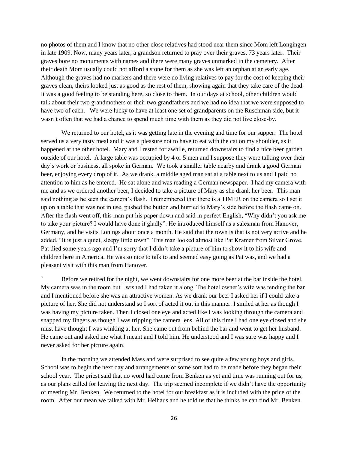no photos of them and I know that no other close relatives had stood near them since Mom left Longingen in late 1909. Now, many years later, a grandson returned to pray over their graves, 73 years later. Their graves bore no monuments with names and there were many graves unmarked in the cemetery. After their death Mom usually could not afford a stone for them as she was left an orphan at an early age. Although the graves had no markers and there were no living relatives to pay for the cost of keeping their graves clean, theirs looked just as good as the rest of them, showing again that they take care of the dead. It was a good feeling to be standing here, so close to them. In our days at school, other children would talk about their two grandmothers or their two grandfathers and we had no idea that we were supposed to have two of each. We were lucky to have at least one set of grandparents on the Ruschman side, but it wasn"t often that we had a chance to spend much time with them as they did not live close-by.

We returned to our hotel, as it was getting late in the evening and time for our supper. The hotel served us a very tasty meal and it was a pleasure not to have to eat with the cat on my shoulder, as it happened at the other hotel. Mary and I rested for awhile, returned downstairs to find a nice beer garden outside of our hotel. A large table was occupied by 4 or 5 men and I suppose they were talking over their day"s work or business, all spoke in German. We took a smaller table nearby and drank a good German beer, enjoying every drop of it. As we drank, a middle aged man sat at a table next to us and I paid no attention to him as he entered. He sat alone and was reading a German newspaper. I had my camera with me and as we ordered another beer, I decided to take a picture of Mary as she drank her beer. This man said nothing as he seen the camera"s flash. I remembered that there is a TIMER on the camera so I set it up on a table that was not in use, pushed the button and hurried to Mary"s side before the flash came on. After the flash went off, this man put his paper down and said in perfect English, "Why didn"t you ask me to take your picture? I would have done it gladly". He introduced himself as a salesman from Hanover, Germany, and he visits Lonings about once a month. He said that the town is that is not very active and he added, "It is just a quiet, sleepy little town". This man looked almost like Pat Kramer from Silver Grove. Pat died some years ago and I"m sorry that I didn"t take a picture of him to show it to his wife and children here in America. He was so nice to talk to and seemed easy going as Pat was, and we had a pleasant visit with this man from Hanover.

Before we retired for the night, we went downstairs for one more beer at the bar inside the hotel. My camera was in the room but I wished I had taken it along. The hotel owner"s wife was tending the bar and I mentioned before she was an attractive women. As we drank our beer I asked her if I could take a picture of her. She did not understand so I sort of acted it out in this manner. I smiled at her as though I was having my picture taken. Then I closed one eye and acted like I was looking through the camera and snapped my fingers as though I was tripping the camera lens. All of this time I had one eye closed and she must have thought I was winking at her. She came out from behind the bar and went to get her husband. He came out and asked me what I meant and I told him. He understood and I was sure was happy and I never asked for her picture again.

In the morning we attended Mass and were surprised to see quite a few young boys and girls. School was to begin the next day and arrangements of some sort had to be made before they began their school year. The priest said that no word had come from Benken as yet and time was running out for us, as our plans called for leaving the next day. The trip seemed incomplete if we didn"t have the opportunity of meeting Mr. Benken. We returned to the hotel for our breakfast as it is included with the price of the room. After our mean we talked with Mr. Heihaus and he told us that he thinks he can find Mr. Benken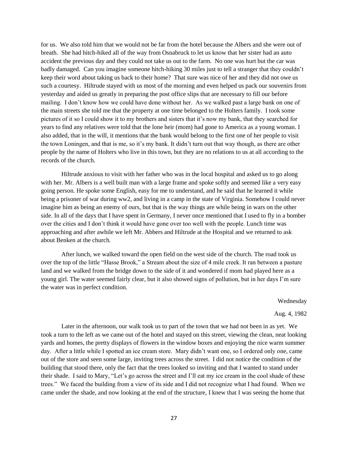for us. We also told him that we would not be far from the hotel because the Albers and she were out of breath. She had hitch-hiked all of the way from Osnabruck to let us know that her sister had an auto accident the previous day and they could not take us out to the farm. No one was hurt but the car was badly damaged. Can you imagine someone hitch-hiking 30 miles just to tell a stranger that they couldn"t keep their word about taking us back to their home? That sure was nice of her and they did not owe us such a courtesy. Hiltrude stayed with us most of the morning and even helped us pack our souvenirs from yesterday and aided us greatly in preparing the post office slips that are necessary to fill our before mailing. I don't know how we could have done without her. As we walked past a large bank on one of the main streets she told me that the property at one time belonged to the Holters family. I took some pictures of it so I could show it to my brothers and sisters that it's now my bank, that they searched for years to find any relatives were told that the lone heir (mom) had gone to America as a young woman. I also added, that in the will, it mentions that the bank would belong to the first one of her people to visit the town Loningen, and that is me, so it's my bank. It didn't turn out that way though, as there are other people by the name of Holters who live in this town, but they are no relations to us at all according to the records of the church.

Hiltrude anxious to visit with her father who was in the local hospital and asked us to go along with her. Mr. Albers is a well built man with a large frame and spoke softly and seemed like a very easy going person. He spoke some English, easy for me to understand, and he said that he learned it while being a prisoner of war during ww2, and living in a camp in the state of Virginia. Somehow I could never imagine him as being an enemy of ours, but that is the way things are while being in wars on the other side. In all of the days that I have spent in Germany, I never once mentioned that I used to fly in a bomber over the cities and I don"t think it would have gone over too well with the people. Lunch time was approaching and after awhile we left Mr. Abbers and Hiltrude at the Hospital and we returned to ask about Benken at the church.

After lunch, we walked toward the open field on the west side of the church. The road took us over the top of the little "Hasse Brook," a Stream about the size of 4 mile creek. It ran between a pasture land and we walked from the bridge down to the side of it and wondered if mom had played here as a young girl. The water seemed fairly clear, but it also showed signs of pollution, but in her days I"m sure the water was in perfect condition.

Wednesday

### Aug. 4, 1982

Later in the afternoon, our walk took us to part of the town that we had not been in as yet. We took a turn to the left as we came out of the hotel and stayed on this street, viewing the clean, neat looking yards and homes, the pretty displays of flowers in the window boxes and enjoying the nice warm summer day. After a little while I spotted an ice cream store. Mary didn"t want one, so I ordered only one, came out of the store and seen some large, inviting trees across the street. I did not notice the condition of the building that stood there, only the fact that the trees looked so inviting and that I wanted to stand under their shade. I said to Mary, "Let"s go across the street and I"ll eat my ice cream in the cool shade of these trees." We faced the building from a view of its side and I did not recognize what I had found. When we came under the shade, and now looking at the end of the structure, I knew that I was seeing the home that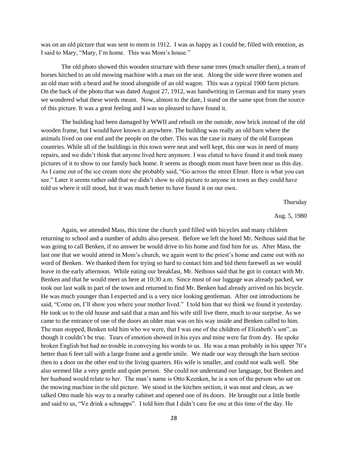was on an old picture that was sent to mom in 1912. I was as happy as I could be, filled with emotion, as I said to Mary, "Mary, I"m home. This was Mom"s house."

The old photo showed this wooden structure with these same trees (much smaller then), a team of horses hitched to an old mowing machine with a man on the seat. Along the side were three women and an old man with a beard and he stood alongside of an old wagon. This was a typical 1900 farm picture. On the back of the photo that was dated August 27, 1912, was handwriting in German and for many years we wondered what these words meant. Now, almost to the date, I stand on the same spot from the source of this picture. It was a great feeling and I was so pleased to have found it.

The building had been damaged by WWII and rebuilt on the outside, now brick instead of the old wooden frame, but I would have known it anywhere. The building was really an old barn where the animals lived on one end and the people on the other. This was the case in many of the old European countries. While all of the buildings in this town were neat and well kept, this one was in need of many repairs, and we didn"t think that anyone lived here anymore. I was elated to have found it and took many pictures of it to show to our family back home. It seems as though mom must have been near us this day. As I came out of the ice cream store she probably said, "Go across the street Elmer. Here is what you can see." Later it seems rather odd that we didn"t show to old picture to anyone in town as they could have told us where it still stood, but it was much better to have found it on our own.

Thursday

Aug. 5, 1980

Again, we attended Mass, this time the church yard filled with bicycles and many children returning to school and a number of adults also present. Before we left the hotel Mr. Neihous said that he was going to call Benken, if no answer he would drive to his home and find him for us. After Mass, the last one that we would attend in Mom"s church, we again went to the priest"s home and came out with no word of Benken. We thanked them for trying so hard to contact him and bid them farewell as we would leave in the early afternoon. While eating our breakfast, Mr. Neihous said that he got in contact with Mr. Benken and that he would meet us here at 10:30 a.m. Since most of our luggage was already packed, we took our last walk to part of the town and returned to find Mr. Benken had already arrived on his bicycle. He was much younger than I expected and is a very nice looking gentleman. After out introductions he said, "Come on, I"ll show you where your mother lived." I told him that we think we found it yesterday. He took us to the old house and said that a man and his wife still live there, much to our surprise. As we came to the entrance of one of the doors an older man was on his way inside and Benken called to him. The man stopped, Benken told him who we were, that I was one of the children of Elizabeth's son", as though it couldn"t be true. Tears of emotion showed in his eyes and mine were far from dry. He spoke broken English but had no trouble in conveying his words to us. He was a man probably in his upper 70"s better than 6 feet tall with a large frame and a gentle smile. We made our way through the barn section then to a door on the other end to the living quarters. His wife is smaller, and could not walk well. She also seemed like a very gentle and quiet person. She could not understand our language, but Benken and her husband would relate to her. The man's name is Otto Keenken, he is a son of the person who sat on the mowing machine in the old picture. We stood in the kitchen section, it was neat and clean, as we talked Otto made his way to a nearby cabinet and opened one of its doors. He brought out a little bottle and said to us, "Ve drink a schnapps". I told him that I didn"t care for one at this time of the day. He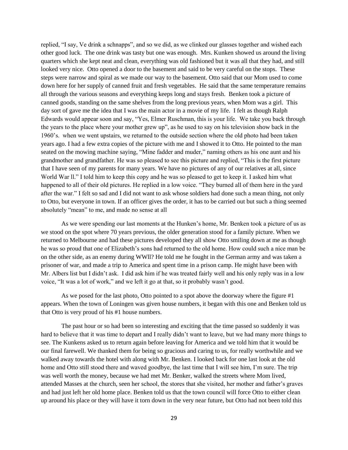replied, "I say, Ve drink a schnapps", and so we did, as we clinked our glasses together and wished each other good luck. The one drink was tasty but one was enough. Mrs. Kunken showed us around the living quarters which she kept neat and clean, everything was old fashioned but it was all that they had, and still looked very nice. Otto opened a door to the basement and said to be very careful on the stops. These steps were narrow and spiral as we made our way to the basement. Otto said that our Mom used to come down here for her supply of canned fruit and fresh vegetables. He said that the same temperature remains all through the various seasons and everything keeps long and stays fresh. Benken took a picture of canned goods, standing on the same shelves from the long previous years, when Mom was a girl. This day sort of gave me the idea that I was the main actor in a movie of my life. I felt as though Ralph Edwards would appear soon and say, "Yes, Elmer Ruschman, this is your life. We take you back through the years to the place where your mother grew up", as he used to say on his television show back in the 1960"s. when we went upstairs, we returned to the outside section where the old photo had been taken years ago. I had a few extra copies of the picture with me and I showed it to Otto. He pointed to the man seated on the mowing machine saying, "Mine fadder and muder," naming others as his one aunt and his grandmother and grandfather. He was so pleased to see this picture and replied, "This is the first picture that I have seen of my parents for many years. We have no pictures of any of our relatives at all, since World War ll." I told him to keep this copy and he was so pleased to get to keep it. I asked him what happened to all of their old pictures. He replied in a low voice. "They burned all of them here in the yard after the war." I felt so sad and I did not want to ask whose soldiers had done such a mean thing, not only to Otto, but everyone in town. If an officer gives the order, it has to be carried out but such a thing seemed absolutely "mean" to me, and made no sense at all

As we were spending our last moments at the Hunken"s home, Mr. Benken took a picture of us as we stood on the spot where 70 years previous, the older generation stood for a family picture. When we returned to Melbourne and had these pictures developed they all show Otto smiling down at me as though he was so proud that one of Elizabeth"s sons had returned to the old home. How could such a nice man be on the other side, as an enemy during WWll? He told me he fought in the German army and was taken a prisoner of war, and made a trip to America and spent time in a prison camp. He might have been with Mr. Albers list but I didn't ask. I did ask him if he was treated fairly well and his only reply was in a low voice, "It was a lot of work," and we left it go at that, so it probably wasn"t good.

As we posed for the last photo, Otto pointed to a spot above the doorway where the figure #1 appears. When the town of Loningen was given house numbers, it began with this one and Benken told us that Otto is very proud of his #1 house numbers.

The past hour or so had been so interesting and exciting that the time passed so suddenly it was hard to believe that it was time to depart and I really didn"t want to leave, but we had many more things to see. The Kunkens asked us to return again before leaving for America and we told him that it would be our final farewell. We thanked them for being so gracious and caring to us, for really worthwhile and we walked away towards the hotel with along with Mr. Benken. I looked back for one last look at the old home and Otto still stood there and waved goodbye, the last time that I will see him, I"m sure. The trip was well worth the money, because we had met Mr. Benker, walked the streets where Mom lived, attended Masses at the church, seen her school, the stores that she visited, her mother and father"s graves and had just left her old home place. Benken told us that the town council will force Otto to either clean up around his place or they will have it torn down in the very near future, but Otto had not been told this